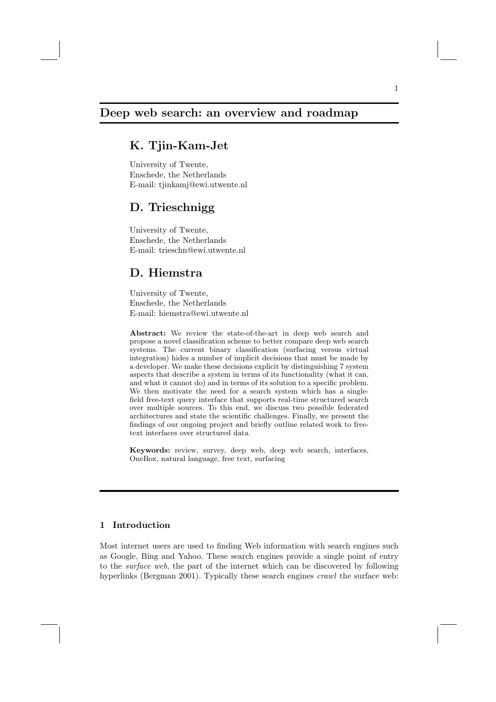## Deep web search: an overview and roadmap

# K. Tjin-Kam-Jet

University of Twente, Enschede, the Netherlands E-mail: tjinkamj@ewi.utwente.nl

## D. Trieschnigg

University of Twente, Enschede, the Netherlands E-mail: trieschn@ewi.utwente.nl

# D. Hiemstra

University of Twente, Enschede, the Netherlands E-mail: hiemstra@ewi.utwente.nl

Abstract: We review the state-of-the-art in deep web search and propose a novel classification scheme to better compare deep web search systems. The current binary classification (surfacing versus virtual integration) hides a number of implicit decisions that must be made by a developer. We make these decisions explicit by distinguishing 7 system aspects that describe a system in terms of its functionality (what it can, and what it cannot do) and in terms of its solution to a specific problem. We then motivate the need for a search system which has a singlefield free-text query interface that supports real-time structured search over multiple sources. To this end, we discuss two possible federated architectures and state the scientific challenges. Finally, we present the findings of our ongoing project and briefly outline related work to freetext interfaces over structured data.

Keywords: review, survey, deep web, deep web search, interfaces, OneBox, natural language, free text, surfacing

## 1 Introduction

Most internet users are used to finding Web information with search engines such as Google, Bing and Yahoo. These search engines provide a single point of entry to the surface web, the part of the internet which can be discovered by following hyperlinks (Bergman 2001). Typically these search engines *crawl* the surface web: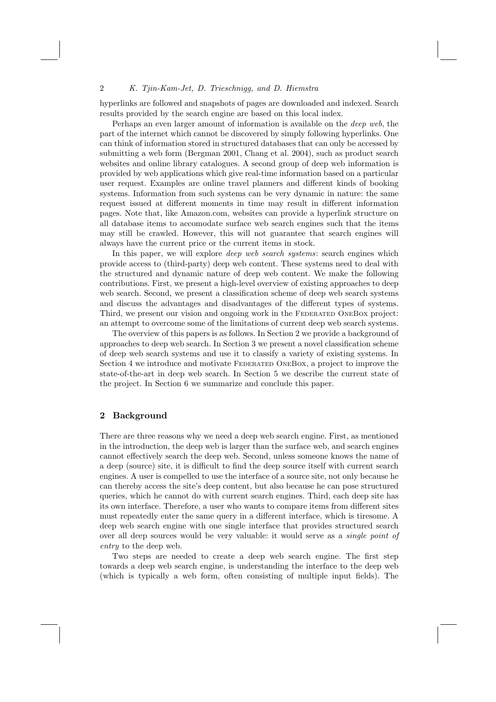hyperlinks are followed and snapshots of pages are downloaded and indexed. Search results provided by the search engine are based on this local index.

Perhaps an even larger amount of information is available on the deep web, the part of the internet which cannot be discovered by simply following hyperlinks. One can think of information stored in structured databases that can only be accessed by submitting a web form (Bergman 2001, Chang et al. 2004), such as product search websites and online library catalogues. A second group of deep web information is provided by web applications which give real-time information based on a particular user request. Examples are online travel planners and different kinds of booking systems. Information from such systems can be very dynamic in nature: the same request issued at different moments in time may result in different information pages. Note that, like Amazon.com, websites can provide a hyperlink structure on all database items to accomodate surface web search engines such that the items may still be crawled. However, this will not guarantee that search engines will always have the current price or the current items in stock.

In this paper, we will explore *deep web search systems*: search engines which provide access to (third-party) deep web content. These systems need to deal with the structured and dynamic nature of deep web content. We make the following contributions. First, we present a high-level overview of existing approaches to deep web search. Second, we present a classification scheme of deep web search systems and discuss the advantages and disadvantages of the different types of systems. Third, we present our vision and ongoing work in the FEDERATED ONEBOX project: an attempt to overcome some of the limitations of current deep web search systems.

The overview of this papers is as follows. In Section 2 we provide a background of approaches to deep web search. In Section 3 we present a novel classification scheme of deep web search systems and use it to classify a variety of existing systems. In Section 4 we introduce and motivate Federated OneBox, a project to improve the state-of-the-art in deep web search. In Section 5 we describe the current state of the project. In Section 6 we summarize and conclude this paper.

### 2 Background

There are three reasons why we need a deep web search engine. First, as mentioned in the introduction, the deep web is larger than the surface web, and search engines cannot effectively search the deep web. Second, unless someone knows the name of a deep (source) site, it is difficult to find the deep source itself with current search engines. A user is compelled to use the interface of a source site, not only because he can thereby access the site's deep content, but also because he can pose structured queries, which he cannot do with current search engines. Third, each deep site has its own interface. Therefore, a user who wants to compare items from different sites must repeatedly enter the same query in a different interface, which is tiresome. A deep web search engine with one single interface that provides structured search over all deep sources would be very valuable: it would serve as a single point of entry to the deep web.

Two steps are needed to create a deep web search engine. The first step towards a deep web search engine, is understanding the interface to the deep web (which is typically a web form, often consisting of multiple input fields). The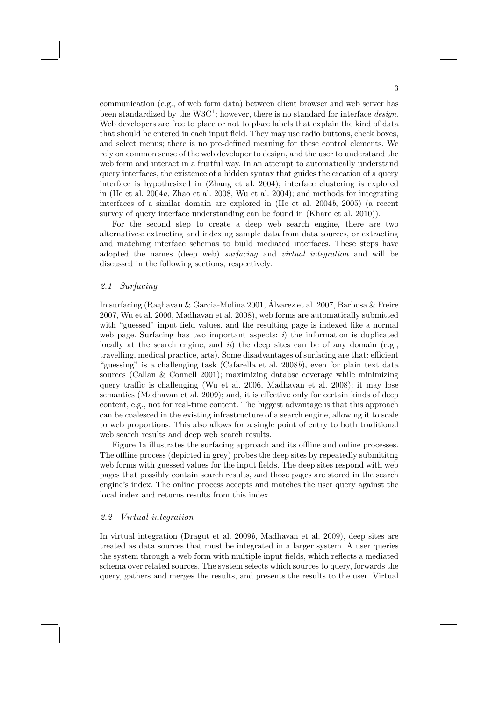communication (e.g., of web form data) between client browser and web server has been standardized by the  $W3C^1$ ; however, there is no standard for interface *design*. Web developers are free to place or not to place labels that explain the kind of data that should be entered in each input field. They may use radio buttons, check boxes, and select menus; there is no pre-defined meaning for these control elements. We rely on common sense of the web developer to design, and the user to understand the web form and interact in a fruitful way. In an attempt to automatically understand query interfaces, the existence of a hidden syntax that guides the creation of a query interface is hypothesized in (Zhang et al. 2004); interface clustering is explored in (He et al. 2004a, Zhao et al. 2008, Wu et al. 2004); and methods for integrating interfaces of a similar domain are explored in (He et al. 2004b, 2005) (a recent survey of query interface understanding can be found in (Khare et al. 2010)).

For the second step to create a deep web search engine, there are two alternatives: extracting and indexing sample data from data sources, or extracting and matching interface schemas to build mediated interfaces. These steps have adopted the names (deep web) surfacing and virtual integration and will be discussed in the following sections, respectively.

## 2.1 Surfacing

In surfacing (Raghavan & Garcia-Molina 2001, Álvarez et al. 2007, Barbosa & Freire 2007, Wu et al. 2006, Madhavan et al. 2008), web forms are automatically submitted with "guessed" input field values, and the resulting page is indexed like a normal web page. Surfacing has two important aspects:  $i$ ) the information is duplicated locally at the search engine, and  $ii$ ) the deep sites can be of any domain (e.g., travelling, medical practice, arts). Some disadvantages of surfacing are that: efficient "guessing" is a challenging task (Cafarella et al. 2008b), even for plain text data sources (Callan & Connell 2001); maximizing databse coverage while minimizing query traffic is challenging (Wu et al. 2006, Madhavan et al. 2008); it may lose semantics (Madhavan et al. 2009); and, it is effective only for certain kinds of deep content, e.g., not for real-time content. The biggest advantage is that this approach can be coalesced in the existing infrastructure of a search engine, allowing it to scale to web proportions. This also allows for a single point of entry to both traditional web search results and deep web search results.

Figure 1a illustrates the surfacing approach and its offline and online processes. The offline process (depicted in grey) probes the deep sites by repeatedly submititng web forms with guessed values for the input fields. The deep sites respond with web pages that possibly contain search results, and those pages are stored in the search engine's index. The online process accepts and matches the user query against the local index and returns results from this index.

#### 2.2 Virtual integration

In virtual integration (Dragut et al. 2009b, Madhavan et al. 2009), deep sites are treated as data sources that must be integrated in a larger system. A user queries the system through a web form with multiple input fields, which reflects a mediated schema over related sources. The system selects which sources to query, forwards the query, gathers and merges the results, and presents the results to the user. Virtual

3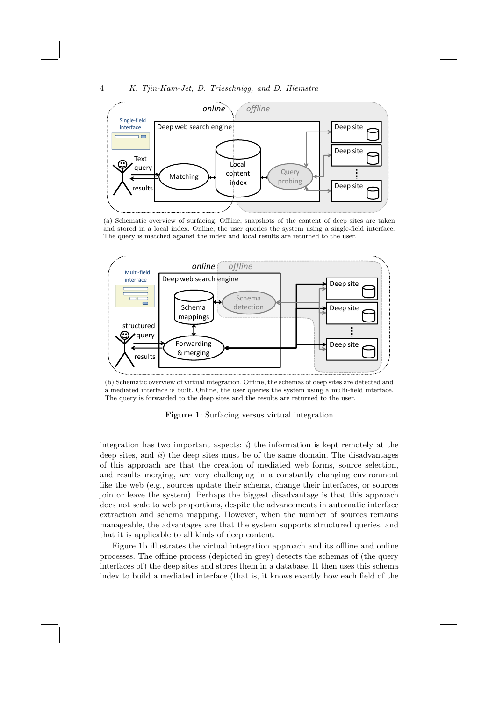

(a) Schematic overview of surfacing. Offline, snapshots of the content of deep sites are taken and stored in a local index. Online, the user queries the system using a single-field interface. The query is matched against the index and local results are returned to the user.



(b) Schematic overview of virtual integration. Offline, the schemas of deep sites are detected and a mediated interface is built. Online, the user queries the system using a multi-field interface. The query is forwarded to the deep sites and the results are returned to the user.



integration has two important aspects:  $i$ ) the information is kept remotely at the deep sites, and  $ii)$  the deep sites must be of the same domain. The disadvantages of this approach are that the creation of mediated web forms, source selection, and results merging, are very challenging in a constantly changing environment like the web (e.g., sources update their schema, change their interfaces, or sources join or leave the system). Perhaps the biggest disadvantage is that this approach does not scale to web proportions, despite the advancements in automatic interface extraction and schema mapping. However, when the number of sources remains manageable, the advantages are that the system supports structured queries, and that it is applicable to all kinds of deep content.

Figure 1b illustrates the virtual integration approach and its offline and online processes. The offline process (depicted in grey) detects the schemas of (the query interfaces of) the deep sites and stores them in a database. It then uses this schema index to build a mediated interface (that is, it knows exactly how each field of the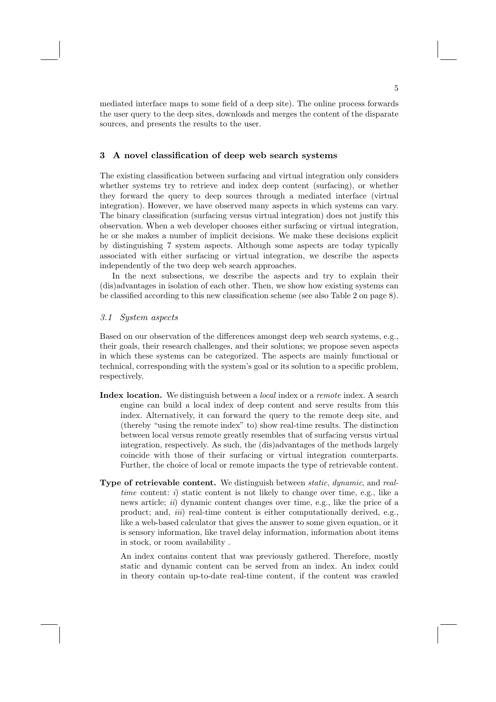mediated interface maps to some field of a deep site). The online process forwards the user query to the deep sites, downloads and merges the content of the disparate sources, and presents the results to the user.

## 3 A novel classification of deep web search systems

The existing classification between surfacing and virtual integration only considers whether systems try to retrieve and index deep content (surfacing), or whether they forward the query to deep sources through a mediated interface (virtual integration). However, we have observed many aspects in which systems can vary. The binary classification (surfacing versus virtual integration) does not justify this observation. When a web developer chooses either surfacing or virtual integration, he or she makes a number of implicit decisions. We make these decisions explicit by distinguishing 7 system aspects. Although some aspects are today typically associated with either surfacing or virtual integration, we describe the aspects independently of the two deep web search approaches.

In the next subsections, we describe the aspects and try to explain their (dis)advantages in isolation of each other. Then, we show how existing systems can be classified according to this new classification scheme (see also Table 2 on page 8).

#### 3.1 System aspects

Based on our observation of the differences amongst deep web search systems, e.g., their goals, their research challenges, and their solutions; we propose seven aspects in which these systems can be categorized. The aspects are mainly functional or technical, corresponding with the system's goal or its solution to a specific problem, respectively.

- Index location. We distinguish between a *local* index or a *remote* index. A search engine can build a local index of deep content and serve results from this index. Alternatively, it can forward the query to the remote deep site, and (thereby "using the remote index" to) show real-time results. The distinction between local versus remote greatly resembles that of surfacing versus virtual integration, respectively. As such, the (dis)advantages of the methods largely coincide with those of their surfacing or virtual integration counterparts. Further, the choice of local or remote impacts the type of retrievable content.
- Type of retrievable content. We distinguish between static, dynamic, and realtime content: i) static content is not likely to change over time, e.g., like a news article; *ii*) dynamic content changes over time, e.g., like the price of a product; and,  $iii$  real-time content is either computationally derived, e.g., like a web-based calculator that gives the answer to some given equation, or it is sensory information, like travel delay information, information about items in stock, or room availability .

An index contains content that was previously gathered. Therefore, mostly static and dynamic content can be served from an index. An index could in theory contain up-to-date real-time content, if the content was crawled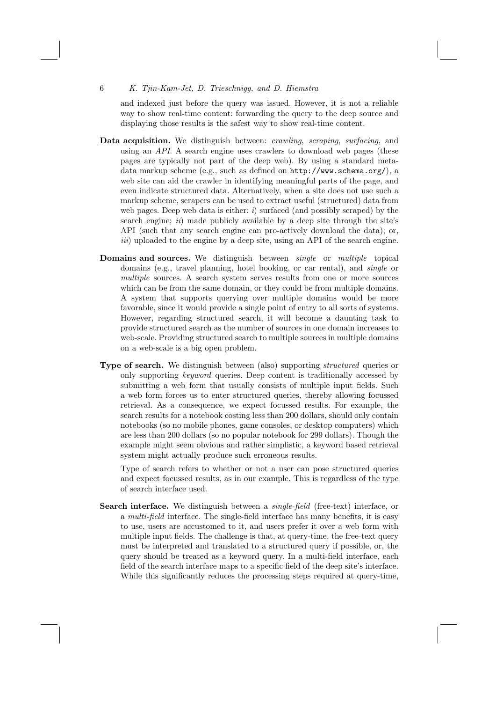and indexed just before the query was issued. However, it is not a reliable way to show real-time content: forwarding the query to the deep source and displaying those results is the safest way to show real-time content.

- Data acquisition. We distinguish between: *crawling, scraping, surfacing*, and using an API. A search engine uses crawlers to download web pages (these pages are typically not part of the deep web). By using a standard metadata markup scheme (e.g., such as defined on http://www.schema.org/), a web site can aid the crawler in identifying meaningful parts of the page, and even indicate structured data. Alternatively, when a site does not use such a markup scheme, scrapers can be used to extract useful (structured) data from web pages. Deep web data is either:  $i)$  surfaced (and possibly scraped) by the search engine;  $ii)$  made publicly available by a deep site through the site's API (such that any search engine can pro-actively download the data); or, iii) uploaded to the engine by a deep site, using an API of the search engine.
- Domains and sources. We distinguish between *single* or *multiple* topical domains (e.g., travel planning, hotel booking, or car rental), and single or multiple sources. A search system serves results from one or more sources which can be from the same domain, or they could be from multiple domains. A system that supports querying over multiple domains would be more favorable, since it would provide a single point of entry to all sorts of systems. However, regarding structured search, it will become a daunting task to provide structured search as the number of sources in one domain increases to web-scale. Providing structured search to multiple sources in multiple domains on a web-scale is a big open problem.
- Type of search. We distinguish between (also) supporting structured queries or only supporting keyword queries. Deep content is traditionally accessed by submitting a web form that usually consists of multiple input fields. Such a web form forces us to enter structured queries, thereby allowing focussed retrieval. As a consequence, we expect focussed results. For example, the search results for a notebook costing less than 200 dollars, should only contain notebooks (so no mobile phones, game consoles, or desktop computers) which are less than 200 dollars (so no popular notebook for 299 dollars). Though the example might seem obvious and rather simplistic, a keyword based retrieval system might actually produce such erroneous results.

Type of search refers to whether or not a user can pose structured queries and expect focussed results, as in our example. This is regardless of the type of search interface used.

Search interface. We distinguish between a *single-field* (free-text) interface, or a multi-field interface. The single-field interface has many benefits, it is easy to use, users are accustomed to it, and users prefer it over a web form with multiple input fields. The challenge is that, at query-time, the free-text query must be interpreted and translated to a structured query if possible, or, the query should be treated as a keyword query. In a multi-field interface, each field of the search interface maps to a specific field of the deep site's interface. While this significantly reduces the processing steps required at query-time,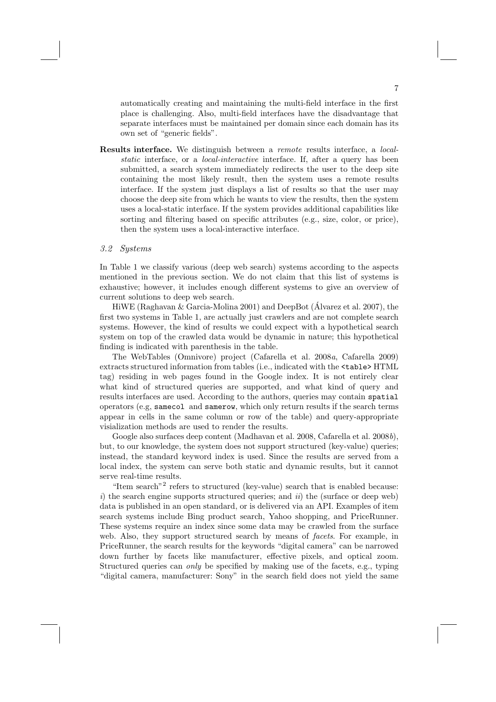automatically creating and maintaining the multi-field interface in the first place is challenging. Also, multi-field interfaces have the disadvantage that separate interfaces must be maintained per domain since each domain has its own set of "generic fields".

Results interface. We distinguish between a remote results interface, a localstatic interface, or a local-interactive interface. If, after a query has been submitted, a search system immediately redirects the user to the deep site containing the most likely result, then the system uses a remote results interface. If the system just displays a list of results so that the user may choose the deep site from which he wants to view the results, then the system uses a local-static interface. If the system provides additional capabilities like sorting and filtering based on specific attributes (e.g., size, color, or price), then the system uses a local-interactive interface.

#### 3.2 Systems

In Table 1 we classify various (deep web search) systems according to the aspects mentioned in the previous section. We do not claim that this list of systems is exhaustive; however, it includes enough different systems to give an overview of current solutions to deep web search.

HiWE (Raghavan & Garcia-Molina 2001) and DeepBot (Álvarez et al. 2007), the first two systems in Table 1, are actually just crawlers and are not complete search systems. However, the kind of results we could expect with a hypothetical search system on top of the crawled data would be dynamic in nature; this hypothetical finding is indicated with parenthesis in the table.

The WebTables (Omnivore) project (Cafarella et al. 2008a, Cafarella 2009) extracts structured information from tables (i.e., indicated with the <table> HTML tag) residing in web pages found in the Google index. It is not entirely clear what kind of structured queries are supported, and what kind of query and results interfaces are used. According to the authors, queries may contain spatial operators (e.g, samecol and samerow, which only return results if the search terms appear in cells in the same column or row of the table) and query-appropriate visialization methods are used to render the results.

Google also surfaces deep content (Madhavan et al. 2008, Cafarella et al. 2008b), but, to our knowledge, the system does not support structured (key-value) queries; instead, the standard keyword index is used. Since the results are served from a local index, the system can serve both static and dynamic results, but it cannot serve real-time results.

"Item search"2 refers to structured (key-value) search that is enabled because: i) the search engine supports structured queries; and  $ii$ ) the (surface or deep web) data is published in an open standard, or is delivered via an API. Examples of item search systems include Bing product search, Yahoo shopping, and PriceRunner. These systems require an index since some data may be crawled from the surface web. Also, they support structured search by means of facets. For example, in PriceRunner, the search results for the keywords "digital camera" can be narrowed down further by facets like manufacturer, effective pixels, and optical zoom. Structured queries can only be specified by making use of the facets, e.g., typing "digital camera, manufacturer: Sony" in the search field does not yield the same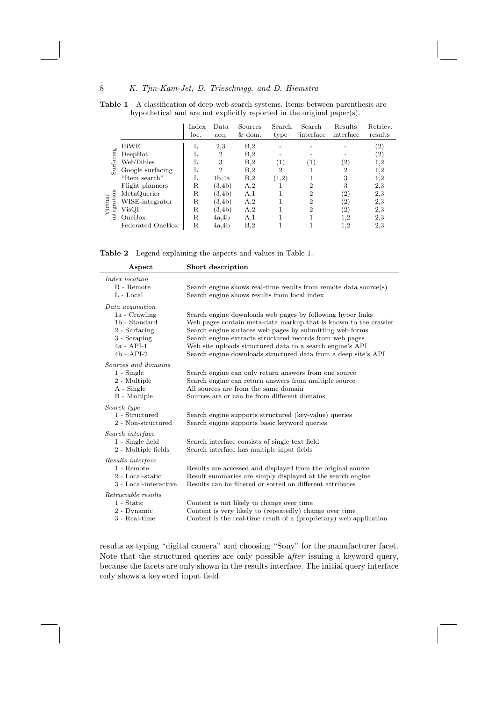Table 1 A classification of deep web search systems. Items between parenthesis are hypothetical and are not explicitly reported in the original paper(s).

|                                                           |                  | Index<br>loc. | Data.<br>acq.  | Sources<br>$&$ dom. | Search<br>type    | Search<br>interface         | Results<br>interface | Retriev.<br>results |
|-----------------------------------------------------------|------------------|---------------|----------------|---------------------|-------------------|-----------------------------|----------------------|---------------------|
| Surfacing<br>Virtual<br>tegration<br>စွဲစ<br>$\mathbf{m}$ | HiWE             | L             | 2,3            | B <sub>2</sub>      |                   |                             |                      | $\left( 2\right)$   |
|                                                           | DeepBot          |               | $\overline{2}$ | B <sub>2</sub>      |                   |                             |                      | (2)                 |
|                                                           | WebTables        |               | 3              | B,2                 | $\left( 1\right)$ | $\left(1\right)$            | $\left( 2\right)$    | $_{1,2}$            |
|                                                           | Google surfacing |               | $\overline{2}$ | B <sub>2</sub>      | 2                 |                             | $\overline{2}$       | $^{1,2}$            |
|                                                           | "Item search"    |               | 1b.4a          | B <sub>2</sub>      | (1,2)             |                             | 3                    | 1,2                 |
|                                                           | Flight planners  | R             | (3,4b)         | A,2                 |                   | $\overline{2}$              | 3                    | 2,3                 |
|                                                           | MetaQuerier      | R             | (3.4b)         | A,1                 |                   | $\overline{2}$              | (2)                  | 2,3                 |
|                                                           | WISE-integrator  | $_{\rm R}$    | (3,4b)         | A,2                 |                   | $\mathcal{D}_{\mathcal{L}}$ | $^{\prime}2)$        | 2,3                 |
|                                                           | VisQI            | R             | (3,4b)         | A,2                 |                   | $\overline{2}$              | $\left( 2\right)$    | 2,3                 |
|                                                           | OneBox           | R             | 4a.4b          | A,1                 |                   |                             | 1,2                  | 2,3                 |
|                                                           | Federated OneBox | R             | 4a.4b          | B <sub>0</sub>      |                   |                             | 1,2                  | 2,3                 |

Table 2 Legend explaining the aspects and values in Table 1.

| Aspect                                                                                                              | Short description                                                                                                                                                                                                                                                                                                                                                                    |
|---------------------------------------------------------------------------------------------------------------------|--------------------------------------------------------------------------------------------------------------------------------------------------------------------------------------------------------------------------------------------------------------------------------------------------------------------------------------------------------------------------------------|
| <i>Index location</i><br>R - Remote<br>$L$ - $Local$                                                                | Search engine shows real-time results from remote data source(s)<br>Search engine shows results from local index                                                                                                                                                                                                                                                                     |
| Data acquisition<br>1a - Crawling<br>1b - Standard<br>2 - Surfacing<br>3 - Scraping<br>$4a - API-1$<br>$4b - API-2$ | Search engine downloads web pages by following hyper links<br>Web pages contain meta-data markup that is known to the crawler<br>Search engine surfaces web pages by submitting web forms<br>Search engine extracts structured records from web pages<br>Web site uploads structured data to a search engine's API<br>Search engine downloads structured data from a deep site's API |
| Sources and domains<br>$1 -$ Single<br>2 - Multiple<br>A - Single<br>B - Multiple                                   | Search engine can only return answers from one source<br>Search engine can return answers from multiple source<br>All sources are from the same domain<br>Sources are or can be from different domains                                                                                                                                                                               |
| Search type<br>1 - Structured<br>2 - Non-structured                                                                 | Search engine supports structured (key-value) queries<br>Search engine supports basic keyword queries                                                                                                                                                                                                                                                                                |
| Search interface<br>1 - Single field<br>2 - Multiple fields                                                         | Search interface consists of single text field<br>Search interface has multiple input fields                                                                                                                                                                                                                                                                                         |
| Results interface<br>1 - Remote<br>2 - Local-static<br>3 - Local-interactive                                        | Results are accessed and displayed from the original source<br>Result summaries are simply displayed at the search engine<br>Results can be filtered or sorted on different attributes                                                                                                                                                                                               |
| Retrievable results<br>1 - Static<br>2 - Dynamic<br>3 - Real-time                                                   | Content is not likely to change over time<br>Content is very likely to (repeatedly) change over time<br>Content is the real-time result of a (proprietary) web application                                                                                                                                                                                                           |

results as typing "digital camera" and choosing "Sony" for the manufacturer facet. Note that the structured queries are only possible after issuing a keyword query, because the facets are only shown in the results interface. The initial query interface only shows a keyword input field.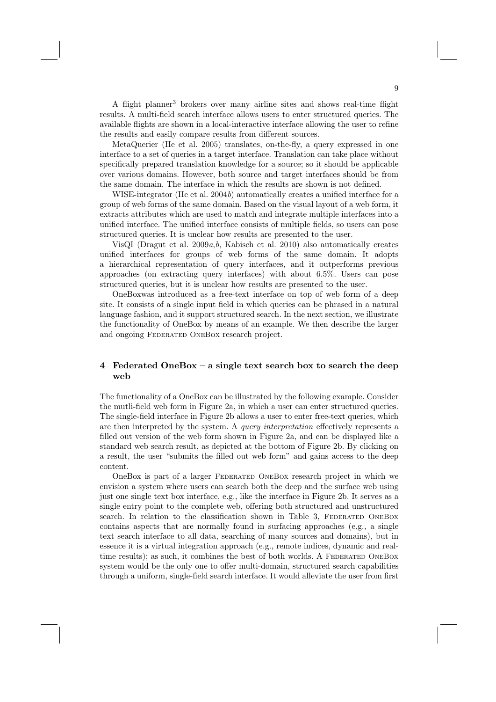A flight planner<sup>3</sup> brokers over many airline sites and shows real-time flight results. A multi-field search interface allows users to enter structured queries. The available flights are shown in a local-interactive interface allowing the user to refine the results and easily compare results from different sources.

MetaQuerier (He et al. 2005) translates, on-the-fly, a query expressed in one interface to a set of queries in a target interface. Translation can take place without specifically prepared translation knowledge for a source; so it should be applicable over various domains. However, both source and target interfaces should be from the same domain. The interface in which the results are shown is not defined.

WISE-integrator (He et al. 2004b) automatically creates a unified interface for a group of web forms of the same domain. Based on the visual layout of a web form, it extracts attributes which are used to match and integrate multiple interfaces into a unified interface. The unified interface consists of multiple fields, so users can pose structured queries. It is unclear how results are presented to the user.

VisQI (Dragut et al.  $2009a, b$ , Kabisch et al. 2010) also automatically creates unified interfaces for groups of web forms of the same domain. It adopts a hierarchical representation of query interfaces, and it outperforms previous approaches (on extracting query interfaces) with about 6.5%. Users can pose structured queries, but it is unclear how results are presented to the user.

OneBoxwas introduced as a free-text interface on top of web form of a deep site. It consists of a single input field in which queries can be phrased in a natural language fashion, and it support structured search. In the next section, we illustrate the functionality of OneBox by means of an example. We then describe the larger and ongoing Federated OneBox research project.

## 4 Federated OneBox – a single text search box to search the deep web

The functionality of a OneBox can be illustrated by the following example. Consider the mutli-field web form in Figure 2a, in which a user can enter structured queries. The single-field interface in Figure 2b allows a user to enter free-text queries, which are then interpreted by the system. A query interpretation effectively represents a filled out version of the web form shown in Figure 2a, and can be displayed like a standard web search result, as depicted at the bottom of Figure 2b. By clicking on a result, the user "submits the filled out web form" and gains access to the deep content.

OneBox is part of a larger Federated OneBox research project in which we envision a system where users can search both the deep and the surface web using just one single text box interface, e.g., like the interface in Figure 2b. It serves as a single entry point to the complete web, offering both structured and unstructured search. In relation to the classification shown in Table 3, FEDERATED ONEBOX contains aspects that are normally found in surfacing approaches (e.g., a single text search interface to all data, searching of many sources and domains), but in essence it is a virtual integration approach (e.g., remote indices, dynamic and realtime results); as such, it combines the best of both worlds. A FEDERATED ONEBOX system would be the only one to offer multi-domain, structured search capabilities through a uniform, single-field search interface. It would alleviate the user from first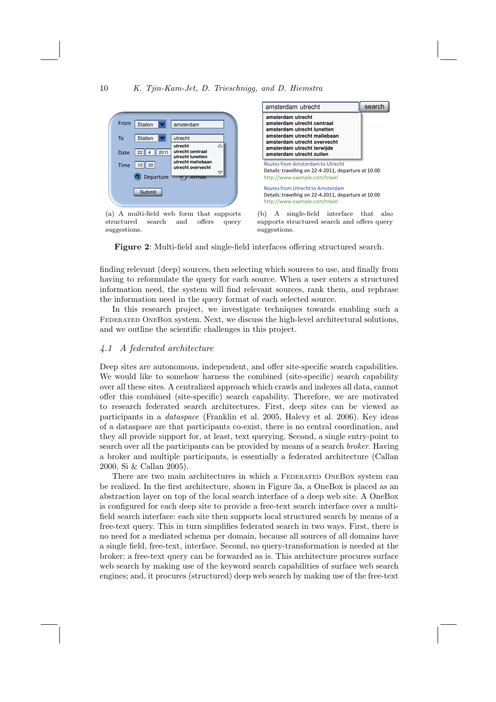

(a) A multi-field web form that supports structured search and offers query suggestions.



(b) A single-field interface that also supports structured search and offers query suggestions.

Figure 2: Multi-field and single-field interfaces offering structured search.

finding relevant (deep) sources, then selecting which sources to use, and finally from having to reformulate the query for each source. When a user enters a structured information need, the system will find relevant sources, rank them, and rephrase the information need in the query format of each selected source.

In this research project, we investigate techniques towards enabling such a Federated OneBox system. Next, we discuss the high-level architectural solutions, and we outline the scientific challenges in this project.

## 4.1 A federated architecture

Deep sites are autonomous, independent, and offer site-specific search capabilities. We would like to somehow harness the combined (site-specific) search capability over all these sites. A centralized approach which crawls and indexes all data, cannot offer this combined (site-specific) search capability. Therefore, we are motivated to research federated search architectures. First, deep sites can be viewed as participants in a dataspace (Franklin et al. 2005, Halevy et al. 2006). Key ideas of a dataspace are that participants co-exist, there is no central coordination, and they all provide support for, at least, text querying. Second, a single entry-point to search over all the participants can be provided by means of a search broker. Having a broker and multiple participants, is essentially a federated architecture (Callan 2000, Si & Callan 2005).

There are two main architectures in which a FEDERATED ONEBOX system can be realized. In the first architecture, shown in Figure 3a, a OneBox is placed as an abstraction layer on top of the local search interface of a deep web site. A OneBox is configured for each deep site to provide a free-text search interface over a multifield search interface: each site then supports local structured search by means of a free-text query. This in turn simplifies federated search in two ways. First, there is no need for a mediated schema per domain, because all sources of all domains have a single field, free-text, interface. Second, no query-transformation is needed at the broker: a free-text query can be forwarded as is. This architecture procures surface web search by making use of the keyword search capabilities of surface web search engines; and, it procures (structured) deep web search by making use of the free-text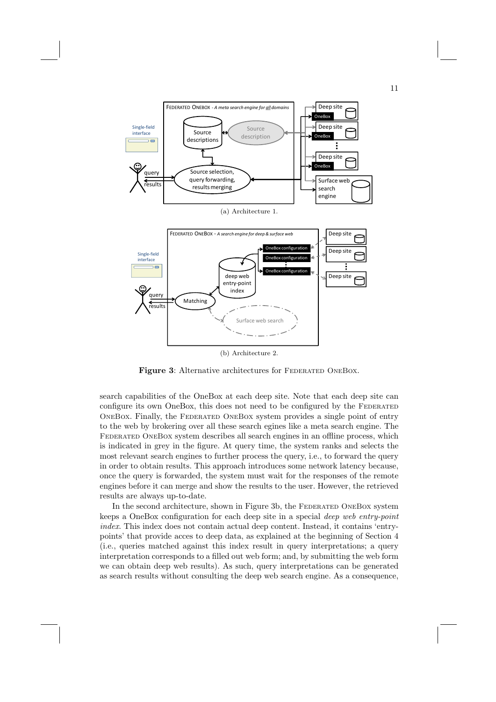

Figure 3: Alternative architectures for FEDERATED ONEBOX.

search capabilities of the OneBox at each deep site. Note that each deep site can configure its own OneBox, this does not need to be configured by the FEDERATED OneBox. Finally, the Federated OneBox system provides a single point of entry to the web by brokering over all these search egines like a meta search engine. The Federated OneBox system describes all search engines in an offline process, which is indicated in grey in the figure. At query time, the system ranks and selects the most relevant search engines to further process the query, i.e., to forward the query in order to obtain results. This approach introduces some network latency because, once the query is forwarded, the system must wait for the responses of the remote engines before it can merge and show the results to the user. However, the retrieved results are always up-to-date.

In the second architecture, shown in Figure 3b, the FEDERATED ONEBOX system keeps a OneBox configuration for each deep site in a special deep web entry-point index. This index does not contain actual deep content. Instead, it contains 'entrypoints' that provide acces to deep data, as explained at the beginning of Section 4 (i.e., queries matched against this index result in query interpretations; a query interpretation corresponds to a filled out web form; and, by submitting the web form we can obtain deep web results). As such, query interpretations can be generated as search results without consulting the deep web search engine. As a consequence,

11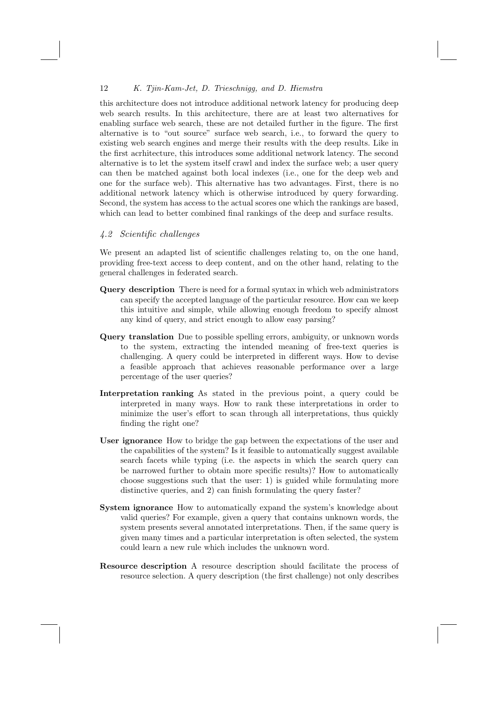this architecture does not introduce additional network latency for producing deep web search results. In this architecture, there are at least two alternatives for enabling surface web search, these are not detailed further in the figure. The first alternative is to "out source" surface web search, i.e., to forward the query to existing web search engines and merge their results with the deep results. Like in the first acrhitecture, this introduces some additional network latency. The second alternative is to let the system itself crawl and index the surface web; a user query can then be matched against both local indexes (i.e., one for the deep web and one for the surface web). This alternative has two advantages. First, there is no additional network latency which is otherwise introduced by query forwarding. Second, the system has access to the actual scores one which the rankings are based, which can lead to better combined final rankings of the deep and surface results.

#### 4.2 Scientific challenges

We present an adapted list of scientific challenges relating to, on the one hand, providing free-text access to deep content, and on the other hand, relating to the general challenges in federated search.

- Query description There is need for a formal syntax in which web administrators can specify the accepted language of the particular resource. How can we keep this intuitive and simple, while allowing enough freedom to specify almost any kind of query, and strict enough to allow easy parsing?
- Query translation Due to possible spelling errors, ambiguity, or unknown words to the system, extracting the intended meaning of free-text queries is challenging. A query could be interpreted in different ways. How to devise a feasible approach that achieves reasonable performance over a large percentage of the user queries?
- Interpretation ranking As stated in the previous point, a query could be interpreted in many ways. How to rank these interpretations in order to minimize the user's effort to scan through all interpretations, thus quickly finding the right one?
- User ignorance How to bridge the gap between the expectations of the user and the capabilities of the system? Is it feasible to automatically suggest available search facets while typing (i.e. the aspects in which the search query can be narrowed further to obtain more specific results)? How to automatically choose suggestions such that the user: 1) is guided while formulating more distinctive queries, and 2) can finish formulating the query faster?
- System ignorance How to automatically expand the system's knowledge about valid queries? For example, given a query that contains unknown words, the system presents several annotated interpretations. Then, if the same query is given many times and a particular interpretation is often selected, the system could learn a new rule which includes the unknown word.
- Resource description A resource description should facilitate the process of resource selection. A query description (the first challenge) not only describes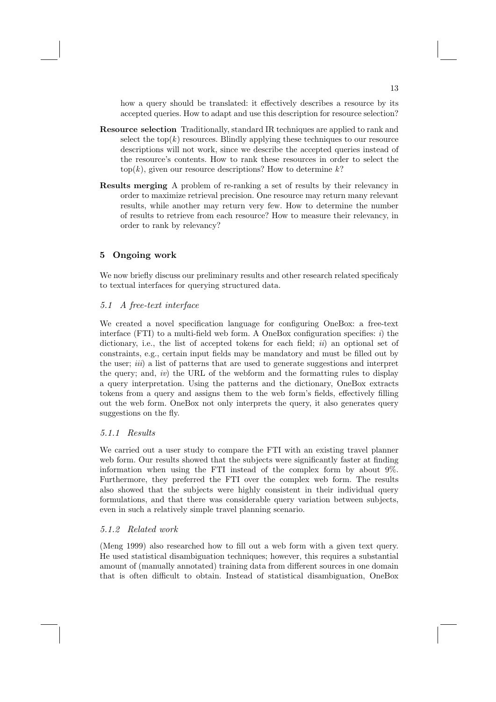how a query should be translated: it effectively describes a resource by its accepted queries. How to adapt and use this description for resource selection?

- Resource selection Traditionally, standard IR techniques are applied to rank and select the top $(k)$  resources. Blindly applying these techniques to our resource descriptions will not work, since we describe the accepted queries instead of the resource's contents. How to rank these resources in order to select the  $top(k)$ , given our resource descriptions? How to determine k?
- Results merging A problem of re-ranking a set of results by their relevancy in order to maximize retrieval precision. One resource may return many relevant results, while another may return very few. How to determine the number of results to retrieve from each resource? How to measure their relevancy, in order to rank by relevancy?

## 5 Ongoing work

We now briefly discuss our preliminary results and other research related specificaly to textual interfaces for querying structured data.

## 5.1 A free-text interface

We created a novel specification language for configuring OneBox: a free-text interface (FTI) to a multi-field web form. A OneBox configuration specifies:  $i)$  the dictionary, i.e., the list of accepted tokens for each field;  $ii)$  an optional set of constraints, e.g., certain input fields may be mandatory and must be filled out by the user; iii) a list of patterns that are used to generate suggestions and interpret the query; and, iv) the URL of the webform and the formatting rules to display a query interpretation. Using the patterns and the dictionary, OneBox extracts tokens from a query and assigns them to the web form's fields, effectively filling out the web form. OneBox not only interprets the query, it also generates query suggestions on the fly.

## 5.1.1 Results

We carried out a user study to compare the FTI with an existing travel planner web form. Our results showed that the subjects were significantly faster at finding information when using the FTI instead of the complex form by about 9%. Furthermore, they preferred the FTI over the complex web form. The results also showed that the subjects were highly consistent in their individual query formulations, and that there was considerable query variation between subjects, even in such a relatively simple travel planning scenario.

## 5.1.2 Related work

(Meng 1999) also researched how to fill out a web form with a given text query. He used statistical disambiguation techniques; however, this requires a substantial amount of (manually annotated) training data from different sources in one domain that is often difficult to obtain. Instead of statistical disambiguation, OneBox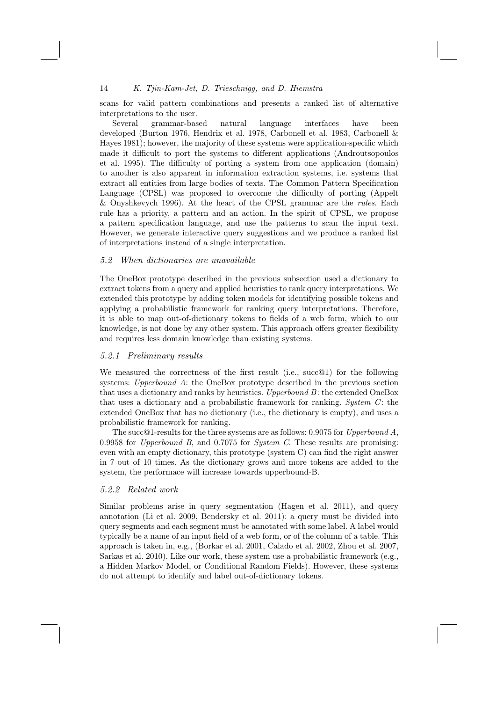scans for valid pattern combinations and presents a ranked list of alternative interpretations to the user.

Several grammar-based natural language interfaces have been developed (Burton 1976, Hendrix et al. 1978, Carbonell et al. 1983, Carbonell & Hayes 1981); however, the majority of these systems were application-specific which made it difficult to port the systems to different applications (Androutsopoulos et al. 1995). The difficulty of porting a system from one application (domain) to another is also apparent in information extraction systems, i.e. systems that extract all entities from large bodies of texts. The Common Pattern Specification Language (CPSL) was proposed to overcome the difficulty of porting (Appelt & Onyshkevych 1996). At the heart of the CPSL grammar are the rules. Each rule has a priority, a pattern and an action. In the spirit of CPSL, we propose a pattern specification language, and use the patterns to scan the input text. However, we generate interactive query suggestions and we produce a ranked list of interpretations instead of a single interpretation.

#### 5.2 When dictionaries are unavailable

The OneBox prototype described in the previous subsection used a dictionary to extract tokens from a query and applied heuristics to rank query interpretations. We extended this prototype by adding token models for identifying possible tokens and applying a probabilistic framework for ranking query interpretations. Therefore, it is able to map out-of-dictionary tokens to fields of a web form, which to our knowledge, is not done by any other system. This approach offers greater flexibility and requires less domain knowledge than existing systems.

#### 5.2.1 Preliminary results

We measured the correctness of the first result (i.e., succ<sup>@1)</sup> for the following systems: Upperbound A: the OneBox prototype described in the previous section that uses a dictionary and ranks by heuristics. Upperbound B: the extended OneBox that uses a dictionary and a probabilistic framework for ranking. System  $C$ : the extended OneBox that has no dictionary (i.e., the dictionary is empty), and uses a probabilistic framework for ranking.

The succ@1-results for the three systems are as follows: 0.9075 for Upperbound A, 0.9958 for Upperbound B, and 0.7075 for System C. These results are promising: even with an empty dictionary, this prototype (system C) can find the right answer in 7 out of 10 times. As the dictionary grows and more tokens are added to the system, the performace will increase towards upperbound-B.

#### 5.2.2 Related work

Similar problems arise in query segmentation (Hagen et al. 2011), and query annotation (Li et al. 2009, Bendersky et al. 2011): a query must be divided into query segments and each segment must be annotated with some label. A label would typically be a name of an input field of a web form, or of the column of a table. This approach is taken in, e.g., (Borkar et al. 2001, Calado et al. 2002, Zhou et al. 2007, Sarkas et al. 2010). Like our work, these system use a probabilistic framework (e.g., a Hidden Markov Model, or Conditional Random Fields). However, these systems do not attempt to identify and label out-of-dictionary tokens.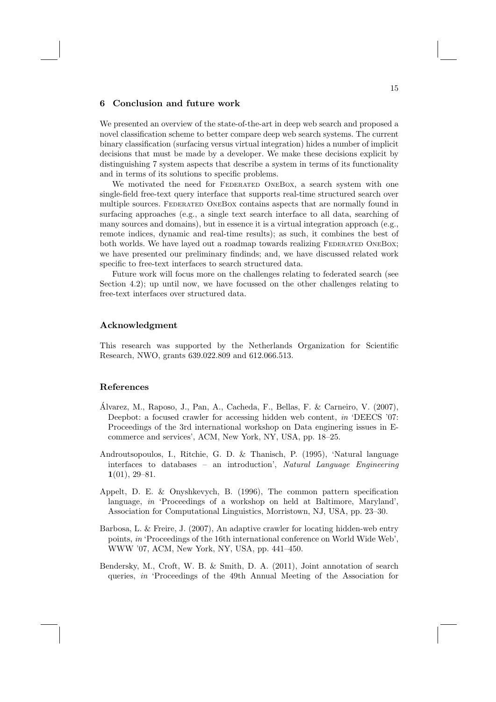### 6 Conclusion and future work

We presented an overview of the state-of-the-art in deep web search and proposed a novel classification scheme to better compare deep web search systems. The current binary classification (surfacing versus virtual integration) hides a number of implicit decisions that must be made by a developer. We make these decisions explicit by distinguishing 7 system aspects that describe a system in terms of its functionality and in terms of its solutions to specific problems.

We motivated the need for FEDERATED ONEBOX, a search system with one single-field free-text query interface that supports real-time structured search over multiple sources. FEDERATED ONEBOX contains aspects that are normally found in surfacing approaches (e.g., a single text search interface to all data, searching of many sources and domains), but in essence it is a virtual integration approach (e.g., remote indices, dynamic and real-time results); as such, it combines the best of both worlds. We have layed out a roadmap towards realizing FEDERATED ONEBOX; we have presented our preliminary findinds; and, we have discussed related work specific to free-text interfaces to search structured data.

Future work will focus more on the challenges relating to federated search (see Section 4.2); up until now, we have focussed on the other challenges relating to free-text interfaces over structured data.

## Acknowledgment

This research was supported by the Netherlands Organization for Scientific Research, NWO, grants 639.022.809 and 612.066.513.

#### References

- Alvarez, M., Raposo, J., Pan, A., Cacheda, F., Bellas, F. & Carneiro, V. (2007), ´ Deepbot: a focused crawler for accessing hidden web content, in 'DEECS '07: Proceedings of the 3rd international workshop on Data enginering issues in Ecommerce and services', ACM, New York, NY, USA, pp. 18–25.
- Androutsopoulos, I., Ritchie, G. D. & Thanisch, P. (1995), 'Natural language interfaces to databases – an introduction', Natural Language Engineering 1(01), 29–81.
- Appelt, D. E. & Onyshkevych, B. (1996), The common pattern specification language, in 'Proceedings of a workshop on held at Baltimore, Maryland', Association for Computational Linguistics, Morristown, NJ, USA, pp. 23–30.
- Barbosa, L. & Freire, J. (2007), An adaptive crawler for locating hidden-web entry points, in 'Proceedings of the 16th international conference on World Wide Web', WWW '07, ACM, New York, NY, USA, pp. 441–450.
- Bendersky, M., Croft, W. B. & Smith, D. A. (2011), Joint annotation of search queries, in 'Proceedings of the 49th Annual Meeting of the Association for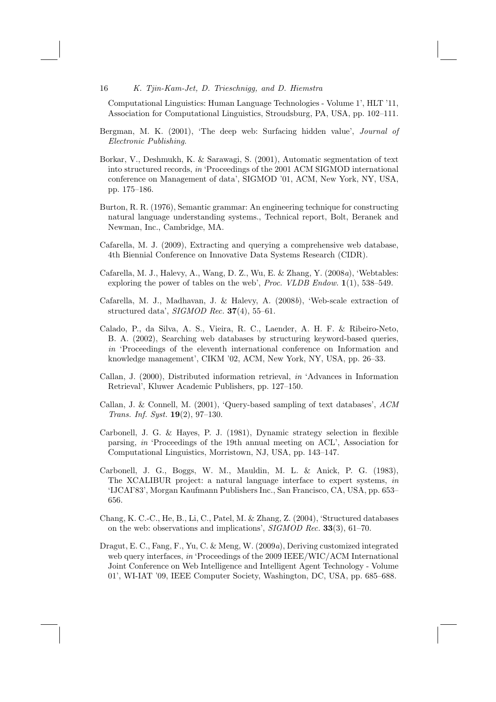Computational Linguistics: Human Language Technologies - Volume 1', HLT '11, Association for Computational Linguistics, Stroudsburg, PA, USA, pp. 102–111.

- Bergman, M. K. (2001), 'The deep web: Surfacing hidden value', Journal of Electronic Publishing.
- Borkar, V., Deshmukh, K. & Sarawagi, S. (2001), Automatic segmentation of text into structured records, in 'Proceedings of the 2001 ACM SIGMOD international conference on Management of data', SIGMOD '01, ACM, New York, NY, USA, pp. 175–186.
- Burton, R. R. (1976), Semantic grammar: An engineering technique for constructing natural language understanding systems., Technical report, Bolt, Beranek and Newman, Inc., Cambridge, MA.
- Cafarella, M. J. (2009), Extracting and querying a comprehensive web database, 4th Biennial Conference on Innovative Data Systems Research (CIDR).
- Cafarella, M. J., Halevy, A., Wang, D. Z., Wu, E. & Zhang, Y. (2008a), 'Webtables: exploring the power of tables on the web', Proc. VLDB Endow.  $1(1)$ , 538–549.
- Cafarella, M. J., Madhavan, J. & Halevy, A. (2008b), 'Web-scale extraction of structured data',  $SIGMOD$  Rec.  $37(4)$ , 55–61.
- Calado, P., da Silva, A. S., Vieira, R. C., Laender, A. H. F. & Ribeiro-Neto, B. A. (2002), Searching web databases by structuring keyword-based queries, in 'Proceedings of the eleventh international conference on Information and knowledge management', CIKM '02, ACM, New York, NY, USA, pp. 26–33.
- Callan, J. (2000), Distributed information retrieval, in 'Advances in Information Retrieval', Kluwer Academic Publishers, pp. 127–150.
- Callan, J. & Connell, M. (2001), 'Query-based sampling of text databases', ACM Trans. Inf. Syst. 19(2), 97–130.
- Carbonell, J. G. & Hayes, P. J. (1981), Dynamic strategy selection in flexible parsing, in 'Proceedings of the 19th annual meeting on ACL', Association for Computational Linguistics, Morristown, NJ, USA, pp. 143–147.
- Carbonell, J. G., Boggs, W. M., Mauldin, M. L. & Anick, P. G. (1983), The XCALIBUR project: a natural language interface to expert systems, in 'IJCAI'83', Morgan Kaufmann Publishers Inc., San Francisco, CA, USA, pp. 653– 656.
- Chang, K. C.-C., He, B., Li, C., Patel, M. & Zhang, Z. (2004), 'Structured databases on the web: observations and implications', SIGMOD Rec. 33(3), 61–70.
- Dragut, E. C., Fang, F., Yu, C. & Meng, W. (2009a), Deriving customized integrated web query interfaces, in 'Proceedings of the 2009 IEEE/WIC/ACM International Joint Conference on Web Intelligence and Intelligent Agent Technology - Volume 01', WI-IAT '09, IEEE Computer Society, Washington, DC, USA, pp. 685–688.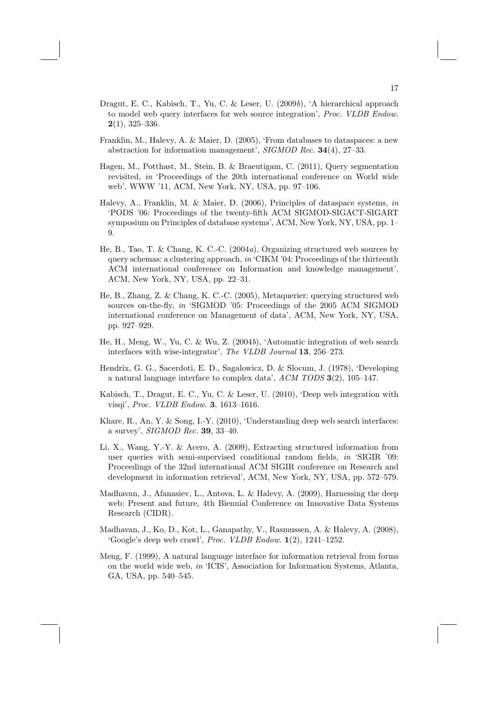- Dragut, E. C., Kabisch, T., Yu, C. & Leser, U. (2009b), 'A hierarchical approach to model web query interfaces for web source integration', Proc. VLDB Endow.  $2(1)$ , 325-336.
- Franklin, M., Halevy, A. & Maier, D. (2005), 'From databases to dataspaces: a new abstraction for information management', SIGMOD Rec. 34(4), 27–33.
- Hagen, M., Potthast, M., Stein, B. & Braeutigam, C. (2011), Query segmentation revisited, in 'Proceedings of the 20th international conference on World wide web', WWW '11, ACM, New York, NY, USA, pp. 97–106.
- Halevy, A., Franklin, M. & Maier, D. (2006), Principles of dataspace systems, in 'PODS '06: Proceedings of the twenty-fifth ACM SIGMOD-SIGACT-SIGART symposium on Principles of database systems', ACM, New York, NY, USA, pp. 1– 9.
- He, B., Tao, T. & Chang, K. C.-C. (2004a), Organizing structured web sources by query schemas: a clustering approach, in 'CIKM '04: Proceedings of the thirteenth ACM international conference on Information and knowledge management', ACM, New York, NY, USA, pp. 22–31.
- He, B., Zhang, Z. & Chang, K. C.-C. (2005), Metaquerier: querying structured web sources on-the-fly, in 'SIGMOD '05: Proceedings of the 2005 ACM SIGMOD international conference on Management of data', ACM, New York, NY, USA, pp. 927–929.
- He, H., Meng, W., Yu, C. & Wu, Z. (2004b), 'Automatic integration of web search interfaces with wise-integrator', The VLDB Journal 13, 256–273.
- Hendrix, G. G., Sacerdoti, E. D., Sagalowicz, D. & Slocum, J. (1978), 'Developing a natural language interface to complex data', ACM TODS 3(2), 105–147.
- Kabisch, T., Dragut, E. C., Yu, C. & Leser, U. (2010), 'Deep web integration with visqi', Proc. VLDB Endow. 3, 1613–1616.
- Khare, R., An, Y. & Song, I.-Y. (2010), 'Understanding deep web search interfaces: a survey', SIGMOD Rec. 39, 33–40.
- Li, X., Wang, Y.-Y. & Acero, A. (2009), Extracting structured information from user queries with semi-supervised conditional random fields, in 'SIGIR '09: Proceedings of the 32nd international ACM SIGIR conference on Research and development in information retrieval', ACM, New York, NY, USA, pp. 572–579.
- Madhavan, J., Afanasiev, L., Antova, L. & Halevy, A. (2009), Harnessing the deep web: Present and future, 4th Biennial Conference on Innovative Data Systems Research (CIDR).
- Madhavan, J., Ko, D., Kot, L., Ganapathy, V., Rasmussen, A. & Halevy, A. (2008), 'Google's deep web crawl', Proc. VLDB Endow. 1(2), 1241–1252.
- Meng, F. (1999), A natural language interface for information retrieval from forms on the world wide web, in 'ICIS', Association for Information Systems, Atlanta, GA, USA, pp. 540–545.